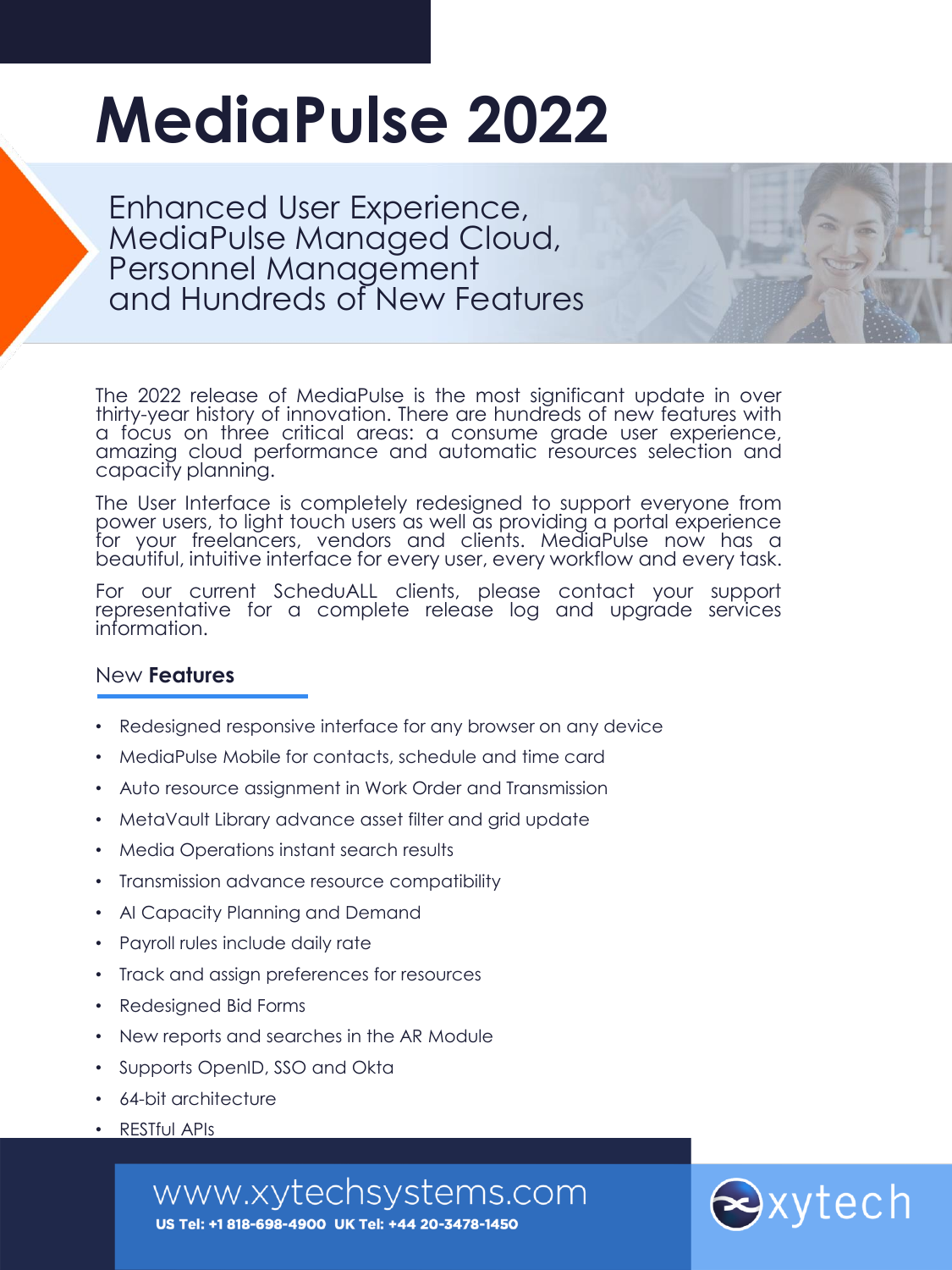# **MediaPulse 2022**

Enhanced User Experience, MediaPulse Managed Cloud, Personnel Management and Hundreds of New Features

The 2022 release of MediaPulse is the most significant update in over thirty-year history of innovation. There are hundreds of new features with a focus on three critical areas: a consume grade user experience, amazing cloud performance and automatic resources selection and capacity planning.

The User Interface is completely redesigned to support everyone from power users, to light touch users as well as providing a portal experience for your freelancers, vendors and clients. MediaPulse now has a beautiful, intuitive interface for every user, every workflow and every task.

For our current ScheduALL clients, please contact your support representative for a complete release log and upgrade services information.

## New **Features**

- Redesigned responsive interface for any browser on any device
- MediaPulse Mobile for contacts, schedule and time card
- Auto resource assignment in Work Order and Transmission
- MetaVault Library advance asset filter and grid update
- Media Operations instant search results
- Transmission advance resource compatibility
- AI Capacity Planning and Demand
- Payroll rules include daily rate
- Track and assign preferences for resources
- Redesigned Bid Forms
- New reports and searches in the AR Module
- Supports OpenID, SSO and Okta
- 64-bit architecture
- RESTful APIs

www.xytechsystems.com



US Tel: +1 818-698-4900 UK Tel: +44 20-3478-1450